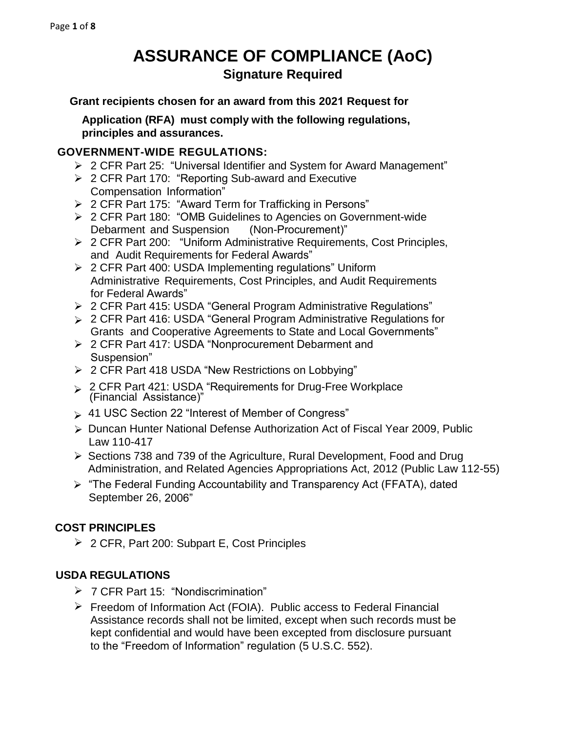# **ASSURANCE OF COMPLIANCE (AoC) Signature Required**

**Grant recipients chosen for an award from this 2021 Request for**

**Application (RFA) must comply with the following regulations, principles and assurances.** 

#### **GOVERNMENT-WIDE REGULATIONS:**

- 2 CFR Part 25: "Universal Identifier and System for Award Management"
- ▶ 2 CFR Part 170: "Reporting Sub-award and Executive Compensation Information"
- 2 CFR Part 175: "Award Term for Trafficking in Persons"
- 2 CFR Part 180: "OMB Guidelines to Agencies on Government-wide Debarment and Suspension (Non-Procurement)"
- ▶ 2 CFR Part 200: "Uniform Administrative Requirements, Cost Principles, and Audit Requirements for Federal Awards"
- ▶ 2 CFR Part 400: USDA Implementing regulations" Uniform Administrative Requirements, Cost Principles, and Audit Requirements for Federal Awards"
- 2 CFR Part 415: USDA "General Program Administrative Regulations"
- 2 CFR Part 416: USDA "General Program Administrative Regulations for Grants and Cooperative Agreements to State and Local Governments"
- 2 CFR Part 417: USDA "Nonprocurement Debarment and Suspension"
- 2 CFR Part 418 USDA "New Restrictions on Lobbying"
- ► 2 CFR Part 421: USDA "Requirements for Drug-Free Workplace (Financial Assistance)"
- 41 USC Section 22 "Interest of Member of Congress"
- Duncan Hunter National Defense Authorization Act of Fiscal Year 2009, Public Law 110-417
- ▶ Sections 738 and 739 of the Agriculture, Rural Development, Food and Drug Administration, and Related Agencies Appropriations Act, 2012 (Public Law 112-55)
- ▶ "The Federal Funding Accountability and Transparency Act (FFATA), dated September 26, 2006"

# **COST PRINCIPLES**

2 CFR, Part 200: Subpart E, Cost Principles

#### **USDA REGULATIONS**

- 7 CFR Part 15: "Nondiscrimination"
- $\triangleright$  Freedom of Information Act (FOIA). Public access to Federal Financial Assistance records shall not be limited, except when such records must be kept confidential and would have been excepted from disclosure pursuant to the "Freedom of Information" regulation (5 U.S.C. 552).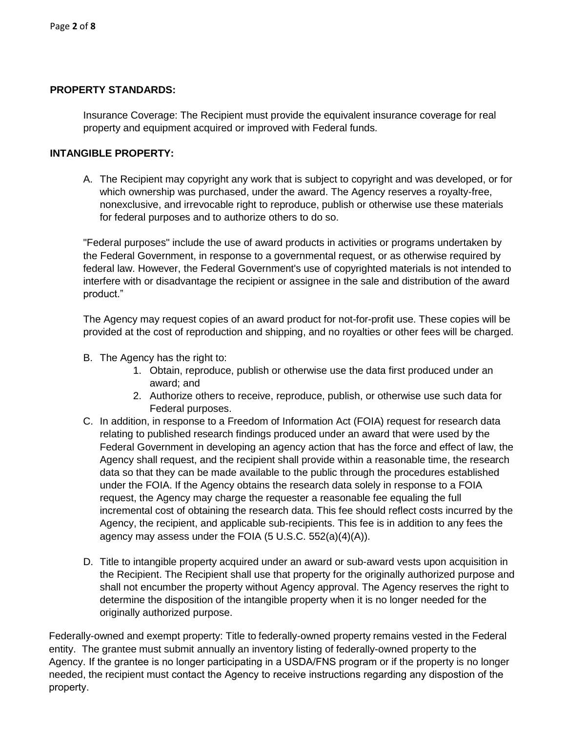#### **PROPERTY STANDARDS:**

Insurance Coverage: The Recipient must provide the equivalent insurance coverage for real property and equipment acquired or improved with Federal funds.

#### **INTANGIBLE PROPERTY:**

A. The Recipient may copyright any work that is subject to copyright and was developed, or for which ownership was purchased, under the award. The Agency reserves a royalty-free, nonexclusive, and irrevocable right to reproduce, publish or otherwise use these materials for federal purposes and to authorize others to do so.

"Federal purposes" include the use of award products in activities or programs undertaken by the Federal Government, in response to a governmental request, or as otherwise required by federal law. However, the Federal Government's use of copyrighted materials is not intended to interfere with or disadvantage the recipient or assignee in the sale and distribution of the award product."

The Agency may request copies of an award product for not-for-profit use. These copies will be provided at the cost of reproduction and shipping, and no royalties or other fees will be charged.

- B. The Agency has the right to:
	- 1. Obtain, reproduce, publish or otherwise use the data first produced under an award; and
	- 2. Authorize others to receive, reproduce, publish, or otherwise use such data for Federal purposes.
- C. In addition, in response to a Freedom of Information Act (FOIA) request for research data relating to published research findings produced under an award that were used by the Federal Government in developing an agency action that has the force and effect of law, the Agency shall request, and the recipient shall provide within a reasonable time, the research data so that they can be made available to the public through the procedures established under the FOIA. If the Agency obtains the research data solely in response to a FOIA request, the Agency may charge the requester a reasonable fee equaling the full incremental cost of obtaining the research data. This fee should reflect costs incurred by the Agency, the recipient, and applicable sub-recipients. This fee is in addition to any fees the agency may assess under the FOIA (5 U.S.C. 552(a)(4)(A)).
- D. Title to intangible property acquired under an award or sub-award vests upon acquisition in the Recipient. The Recipient shall use that property for the originally authorized purpose and shall not encumber the property without Agency approval. The Agency reserves the right to determine the disposition of the intangible property when it is no longer needed for the originally authorized purpose.

Federally-owned and exempt property: Title to federally-owned property remains vested in the Federal entity. The grantee must submit annually an inventory listing of federally-owned property to the Agency. If the grantee is no longer participating in a USDA/FNS program or if the property is no longer needed, the recipient must contact the Agency to receive instructions regarding any dispostion of the property.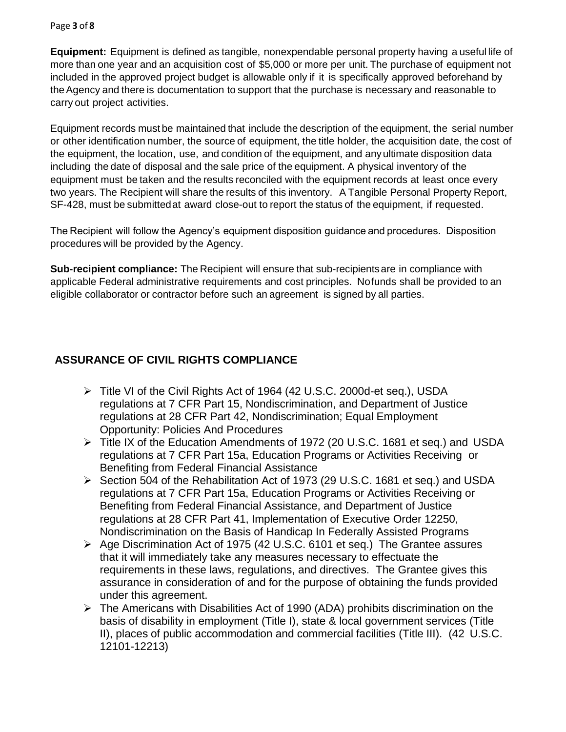#### Page **3** of **8**

**Equipment:** Equipment is defined as tangible, nonexpendable personal property having a useful life of more than one year and an acquisition cost of \$5,000 or more per unit. The purchase of equipment not included in the approved project budget is allowable only if it is specifically approved beforehand by the Agency and there is documentation to support that the purchase is necessary and reasonable to carry out project activities.

Equipment records must be maintained that include the description of the equipment, the serial number or other identification number, the source of equipment, the title holder, the acquisition date, the cost of the equipment, the location, use, and condition of the equipment, and any ultimate disposition data including the date of disposal and the sale price of the equipment. A physical inventory of the equipment must be taken and the results reconciled with the equipment records at least once every two years. The Recipient will share the results of this inventory. A Tangible Personal Property Report, SF-428, must be submitted at award close-out to report the status of the equipment, if requested.

The Recipient will follow the Agency's equipment disposition guidance and procedures. Disposition procedures will be provided by the Agency.

**Sub-recipient compliance:** The Recipient will ensure that sub-recipients are in compliance with applicable Federal administrative requirements and cost principles. No funds shall be provided to an eligible collaborator or contractor before such an agreement is signed by all parties.

# **ASSURANCE OF CIVIL RIGHTS COMPLIANCE**

- Title VI of the Civil Rights Act of 1964 (42 U.S.C. 2000d-et seq.), USDA regulations at 7 CFR Part 15, Nondiscrimination, and Department of Justice regulations at 28 CFR Part 42, Nondiscrimination; Equal Employment Opportunity: Policies And Procedures
- Title IX of the Education Amendments of 1972 (20 U.S.C. 1681 et seq.) and USDA regulations at 7 CFR Part 15a, Education Programs or Activities Receiving or Benefiting from Federal Financial Assistance
- ▶ Section 504 of the Rehabilitation Act of 1973 (29 U.S.C. 1681 et seq.) and USDA regulations at 7 CFR Part 15a, Education Programs or Activities Receiving or Benefiting from Federal Financial Assistance, and Department of Justice regulations at 28 CFR Part 41, Implementation of Executive Order 12250, Nondiscrimination on the Basis of Handicap In Federally Assisted Programs
- Age Discrimination Act of 1975 (42 U.S.C. 6101 et seq.) The Grantee assures that it will immediately take any measures necessary to effectuate the requirements in these laws, regulations, and directives. The Grantee gives this assurance in consideration of and for the purpose of obtaining the funds provided under this agreement.
- $\triangleright$  The Americans with Disabilities Act of 1990 (ADA) prohibits discrimination on the basis of disability in employment (Title I), state & local government services (Title II), places of public accommodation and commercial facilities (Title III). (42 U.S.C. 12101-12213)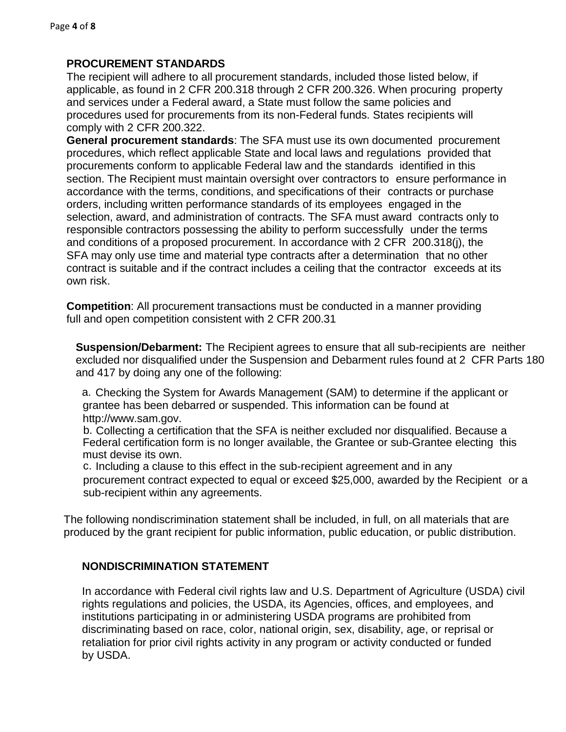#### **PROCUREMENT STANDARDS**

The recipient will adhere to all procurement standards, included those listed below, if applicable, as found in 2 CFR 200.318 through 2 CFR 200.326. When procuring property and services under a Federal award, a State must follow the same policies and procedures used for procurements from its non-Federal funds. States recipients will comply with 2 CFR 200.322.

**General procurement standards**: The SFA must use its own documented procurement procedures, which reflect applicable State and local laws and regulations provided that procurements conform to applicable Federal law and the standards identified in this section. The Recipient must maintain oversight over contractors to ensure performance in accordance with the terms, conditions, and specifications of their contracts or purchase orders, including written performance standards of its employees engaged in the selection, award, and administration of contracts. The SFA must award contracts only to responsible contractors possessing the ability to perform successfully under the terms and conditions of a proposed procurement. In accordance with 2 CFR 200.318(j), the SFA may only use time and material type contracts after a determination that no other contract is suitable and if the contract includes a ceiling that the contractor exceeds at its own risk.

**Competition**: All procurement transactions must be conducted in a manner providing full and open competition consistent with 2 CFR 200.31

**Suspension/Debarment:** The Recipient agrees to ensure that all sub-recipients are neither excluded nor disqualified under the Suspension and Debarment rules found at 2 CFR Parts 180 and 417 by doing any one of the following:

a. Checking the System for Awards Management (SAM) to determine if the applicant or grantee has been debarred or suspended. This information can be found at [http://www.sam.gov.](http://www.sam.gov/)

b. Collecting a certification that the SFA is neither excluded nor disqualified. Because a Federal certification form is no longer available, the Grantee or sub-Grantee electing this must devise its own.

c. Including a clause to this effect in the sub-recipient agreement and in any procurement contract expected to equal or exceed \$25,000, awarded by the Recipient or a sub-recipient within any agreements.

The following nondiscrimination statement shall be included, in full, on all materials that are produced by the grant recipient for public information, public education, or public distribution.

# **NONDISCRIMINATION STATEMENT**

In accordance with Federal civil rights law and U.S. Department of Agriculture (USDA) civil rights regulations and policies, the USDA, its Agencies, offices, and employees, and institutions participating in or administering USDA programs are prohibited from discriminating based on race, color, national origin, sex, disability, age, or reprisal or retaliation for prior civil rights activity in any program or activity conducted or funded by USDA.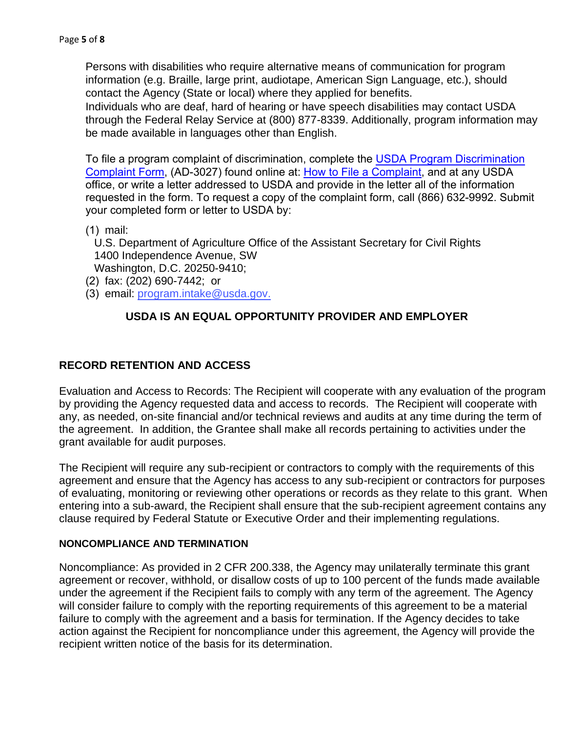Persons with disabilities who require alternative means of communication for program information (e.g. Braille, large print, audiotape, American Sign Language, etc.), should contact the Agency (State or local) where they applied for benefits.

Individuals who are deaf, hard of hearing or have speech disabilities may contact USDA through the Federal Relay Service at (800) 877-8339. Additionally, program information may be made available in languages other than English.

[To file a program complaint of discrimination, complete the USDA Program Discrimination](https://www.usda.gov/sites/default/files/documents/USDA-OASCR P-Complaint-Form-0508-0002-508-11-28-17Fax2Mail.pdf) Complaint Form, (AD-3027) found online at: [How to File a Complaint](https://www.usda.gov/oascr/how-to-file-a-program-discrimination-complaint), and at any USDA office, or write a letter addressed to USDA and provide in the letter all of the information requested in the form. To request a copy of the complaint form, call (866) 632-9992. Submit your completed form or letter to USDA by:

(1) mail:

U.S. Department of Agriculture Office of the Assistant Secretary for Civil Rights 1400 Independence Avenue, SW

Washington, D.C. 20250-9410;

- (2) fax: (202) 690-7442; or
- (3) email[: program.intake@usda.gov.](mailto:program.intake@usda.gov)

# **USDA IS AN EQUAL OPPORTUNITY PROVIDER AND EMPLOYER**

#### **RECORD RETENTION AND ACCESS**

Evaluation and Access to Records: The Recipient will cooperate with any evaluation of the program by providing the Agency requested data and access to records. The Recipient will cooperate with any, as needed, on-site financial and/or technical reviews and audits at any time during the term of the agreement. In addition, the Grantee shall make all records pertaining to activities under the grant available for audit purposes.

The Recipient will require any sub-recipient or contractors to comply with the requirements of this agreement and ensure that the Agency has access to any sub-recipient or contractors for purposes of evaluating, monitoring or reviewing other operations or records as they relate to this grant. When entering into a sub-award, the Recipient shall ensure that the sub-recipient agreement contains any clause required by Federal Statute or Executive Order and their implementing regulations.

#### **NONCOMPLIANCE AND TERMINATION**

Noncompliance: As provided in 2 CFR 200.338, the Agency may unilaterally terminate this grant agreement or recover, withhold, or disallow costs of up to 100 percent of the funds made available under the agreement if the Recipient fails to comply with any term of the agreement. The Agency will consider failure to comply with the reporting requirements of this agreement to be a material failure to comply with the agreement and a basis for termination. If the Agency decides to take action against the Recipient for noncompliance under this agreement, the Agency will provide the recipient written notice of the basis for its determination.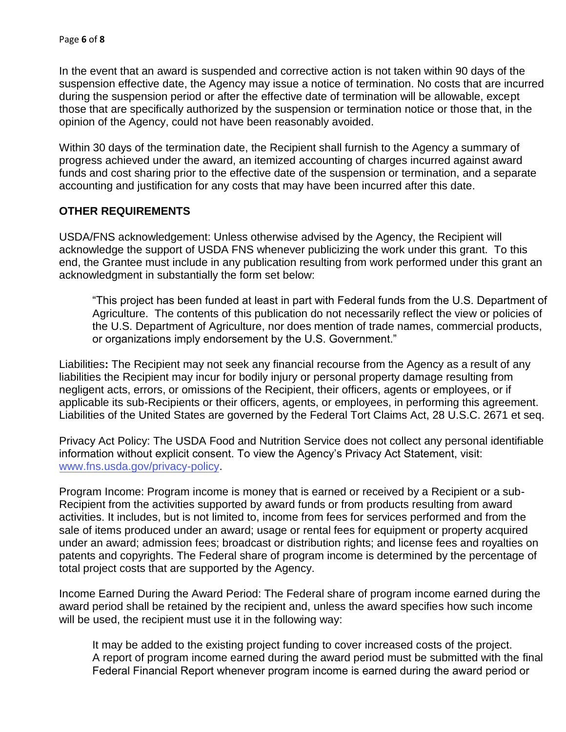In the event that an award is suspended and corrective action is not taken within 90 days of the suspension effective date, the Agency may issue a notice of termination. No costs that are incurred during the suspension period or after the effective date of termination will be allowable, except those that are specifically authorized by the suspension or termination notice or those that, in the opinion of the Agency, could not have been reasonably avoided.

Within 30 days of the termination date, the Recipient shall furnish to the Agency a summary of progress achieved under the award, an itemized accounting of charges incurred against award funds and cost sharing prior to the effective date of the suspension or termination, and a separate accounting and justification for any costs that may have been incurred after this date.

#### **OTHER REQUIREMENTS**

USDA/FNS acknowledgement: Unless otherwise advised by the Agency, the Recipient will acknowledge the support of USDA FNS whenever publicizing the work under this grant. To this end, the Grantee must include in any publication resulting from work performed under this grant an acknowledgment in substantially the form set below:

"This project has been funded at least in part with Federal funds from the U.S. Department of Agriculture. The contents of this publication do not necessarily reflect the view or policies of the U.S. Department of Agriculture, nor does mention of trade names, commercial products, or organizations imply endorsement by the U.S. Government."

Liabilities**:** The Recipient may not seek any financial recourse from the Agency as a result of any liabilities the Recipient may incur for bodily injury or personal property damage resulting from negligent acts, errors, or omissions of the Recipient, their officers, agents or employees, or if applicable its sub-Recipients or their officers, agents, or employees, in performing this agreement. Liabilities of the United States are governed by the Federal Tort Claims Act, 28 U.S.C. 2671 et seq.

Privacy Act Policy: The USDA Food and Nutrition Service does not collect any personal identifiable information without explicit consent. To view the Agency's Privacy Act Statement, visit: [www.fns.usda.gov/privacy-policy.](http://www.fns.usda.gov/privacy-policy)

Program Income: Program income is money that is earned or received by a Recipient or a sub-Recipient from the activities supported by award funds or from products resulting from award activities. It includes, but is not limited to, income from fees for services performed and from the sale of items produced under an award; usage or rental fees for equipment or property acquired under an award; admission fees; broadcast or distribution rights; and license fees and royalties on patents and copyrights. The Federal share of program income is determined by the percentage of total project costs that are supported by the Agency.

Income Earned During the Award Period: The Federal share of program income earned during the award period shall be retained by the recipient and, unless the award specifies how such income will be used, the recipient must use it in the following way:

It may be added to the existing project funding to cover increased costs of the project. A report of program income earned during the award period must be submitted with the final Federal Financial Report whenever program income is earned during the award period or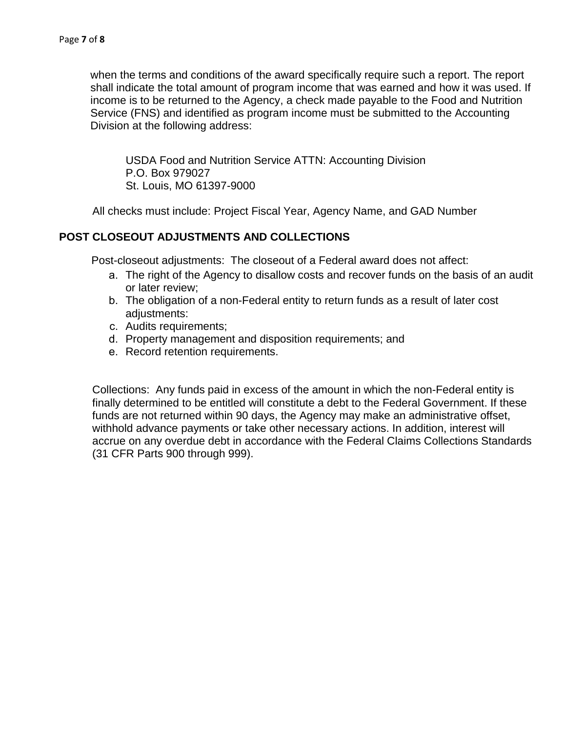when the terms and conditions of the award specifically require such a report. The report shall indicate the total amount of program income that was earned and how it was used. If income is to be returned to the Agency, a check made payable to the Food and Nutrition Service (FNS) and identified as program income must be submitted to the Accounting Division at the following address:

USDA Food and Nutrition Service ATTN: Accounting Division P.O. Box 979027 St. Louis, MO 61397-9000

All checks must include: Project Fiscal Year, Agency Name, and GAD Number

#### **POST CLOSEOUT ADJUSTMENTS AND COLLECTIONS**

Post-closeout adjustments: The closeout of a Federal award does not affect:

- a. The right of the Agency to disallow costs and recover funds on the basis of an audit or later review;
- b. The obligation of a non-Federal entity to return funds as a result of later cost adjustments:
- c. Audits requirements;
- d. Property management and disposition requirements; and
- e. Record retention requirements.

Collections: Any funds paid in excess of the amount in which the non-Federal entity is finally determined to be entitled will constitute a debt to the Federal Government. If these funds are not returned within 90 days, the Agency may make an administrative offset, withhold advance payments or take other necessary actions. In addition, interest will accrue on any overdue debt in accordance with the Federal Claims Collections Standards (31 CFR Parts 900 through 999).